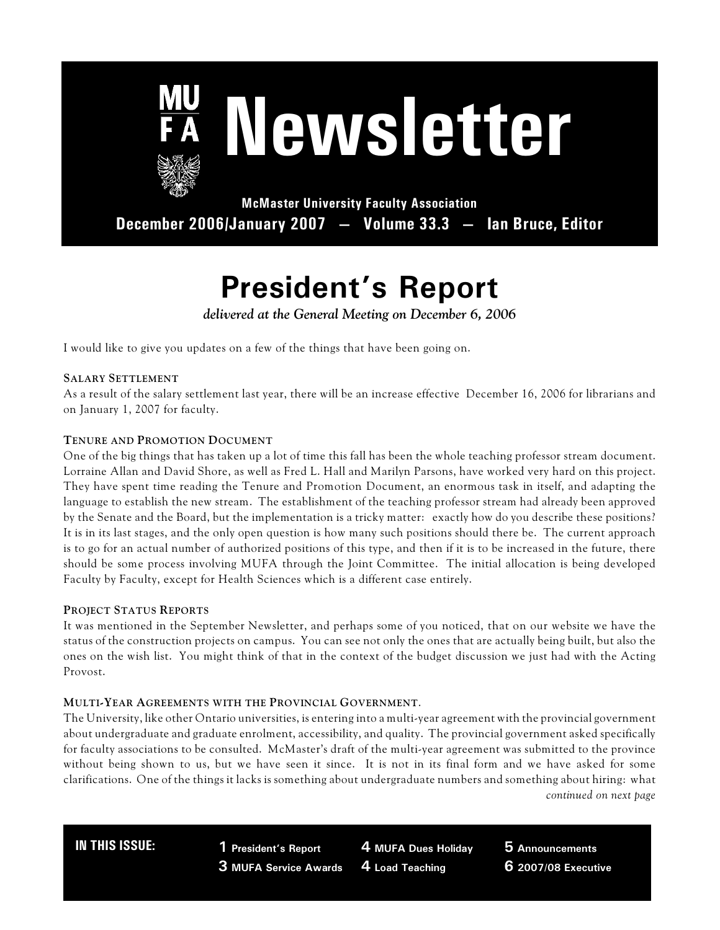

# **Newsletter**

**McMaster University Faculty Association December 2006/January 2007 — Volume 33.3 — Ian Bruce, Editor**

# **President's Report**

*delivered at the General Meeting on December 6, 2006*

I would like to give you updates on a few of the things that have been going on.

## **SALARY SETTLEMENT**

As a result of the salary settlement last year, there will be an increase effective December 16, 2006 for librarians and on January 1, 2007 for faculty.

## **TENURE AND PROMOTION DOCUMENT**

One of the big things that has taken up a lot of time this fall has been the whole teaching professor stream document. Lorraine Allan and David Shore, as well as Fred L. Hall and Marilyn Parsons, have worked very hard on this project. They have spent time reading the Tenure and Promotion Document, an enormous task in itself, and adapting the language to establish the new stream. The establishment of the teaching professor stream had already been approved by the Senate and the Board, but the implementation is a tricky matter: exactly how do you describe these positions? It is in its last stages, and the only open question is how many such positions should there be. The current approach is to go for an actual number of authorized positions of this type, and then if it is to be increased in the future, there should be some process involving MUFA through the Joint Committee. The initial allocation is being developed Faculty by Faculty, except for Health Sciences which is a different case entirely.

#### **PROJECT STATUS REPORTS**

It was mentioned in the September Newsletter, and perhaps some of you noticed, that on our website we have the status of the construction projects on campus. You can see not only the ones that are actually being built, but also the ones on the wish list. You might think of that in the context of the budget discussion we just had with the Acting Provost.

#### **MULTI-YEAR AGREEMENTS WITH THE PROVINCIAL GOVERNMENT**.

The University, like other Ontario universities, is entering into a multi-year agreement with the provincial government about undergraduate and graduate enrolment, accessibility, and quality. The provincial government asked specifically for faculty associations to be consulted. McMaster's draft of the multi-year agreement was submitted to the province without being shown to us, but we have seen it since. It is not in its final form and we have asked for some clarifications. One of the things it lacks is something about undergraduate numbers and something about hiring: what *continued on next page*

**IN THIS ISSUE: 1 President's Report 3 MUFA Service Awards**

**4 MUFA Dues Holiday 4 Load Teaching**

**5 Announcements 6 2007/08 Executive**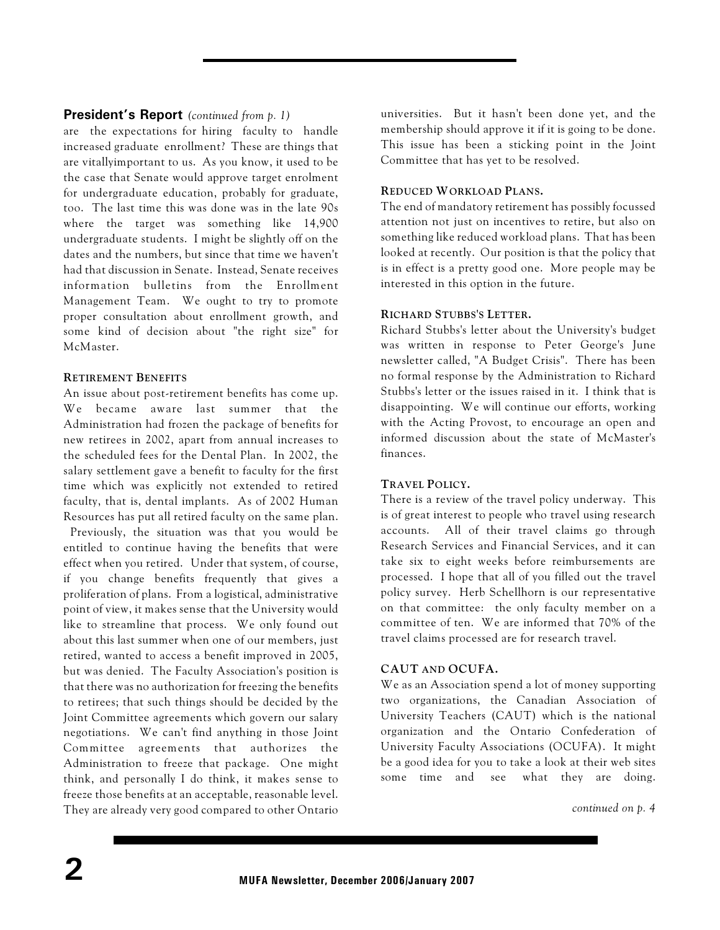# **President's Report** *(continued from p. 1)*

are the expectations for hiring faculty to handle increased graduate enrollment? These are things that are vitallyimportant to us. As you know, it used to be the case that Senate would approve target enrolment for undergraduate education, probably for graduate, too. The last time this was done was in the late 90s where the target was something like 14,900 undergraduate students. I might be slightly off on the dates and the numbers, but since that time we haven't had that discussion in Senate. Instead, Senate receives information bulletins from the Enrollment Management Team. We ought to try to promote proper consultation about enrollment growth, and some kind of decision about "the right size" for McMaster.

## **RETIREMENT BENEFITS**

An issue about post-retirement benefits has come up. We became aware last summer that the Administration had frozen the package of benefits for new retirees in 2002, apart from annual increases to the scheduled fees for the Dental Plan. In 2002, the salary settlement gave a benefit to faculty for the first time which was explicitly not extended to retired faculty, that is, dental implants. As of 2002 Human Resources has put all retired faculty on the same plan. Previously, the situation was that you would be entitled to continue having the benefits that were effect when you retired. Under that system, of course, if you change benefits frequently that gives a proliferation of plans. From a logistical, administrative point of view, it makes sense that the University would like to streamline that process. We only found out about this last summer when one of our members, just retired, wanted to access a benefit improved in 2005, but was denied. The Faculty Association's position is that there was no authorization for freezing the benefits to retirees; that such things should be decided by the Joint Committee agreements which govern our salary negotiations. We can't find anything in those Joint Committee agreements that authorizes the Administration to freeze that package. One might think, and personally I do think, it makes sense to freeze those benefits at an acceptable, reasonable level. They are already very good compared to other Ontario universities. But it hasn't been done yet, and the membership should approve it if it is going to be done. This issue has been a sticking point in the Joint Committee that has yet to be resolved.

## **REDUCED WORKLOAD PLANS.**

The end of mandatory retirement has possibly focussed attention not just on incentives to retire, but also on something like reduced workload plans. That has been looked at recently. Our position is that the policy that is in effect is a pretty good one. More people may be interested in this option in the future.

## **RICHARD STUBBS'S LETTER.**

Richard Stubbs's letter about the University's budget was written in response to Peter George's June newsletter called, "A Budget Crisis". There has been no formal response by the Administration to Richard Stubbs's letter or the issues raised in it. I think that is disappointing. We will continue our efforts, working with the Acting Provost, to encourage an open and informed discussion about the state of McMaster's finances.

## **TRAVEL POLICY.**

There is a review of the travel policy underway. This is of great interest to people who travel using research accounts. All of their travel claims go through Research Services and Financial Services, and it can take six to eight weeks before reimbursements are processed. I hope that all of you filled out the travel policy survey. Herb Schellhorn is our representative on that committee: the only faculty member on a committee of ten. We are informed that 70% of the travel claims processed are for research travel.

## **CAUT AND OCUFA.**

We as an Association spend a lot of money supporting two organizations, the Canadian Association of University Teachers (CAUT) which is the national organization and the Ontario Confederation of University Faculty Associations (OCUFA). It might be a good idea for you to take a look at their web sites some time and see what they are doing.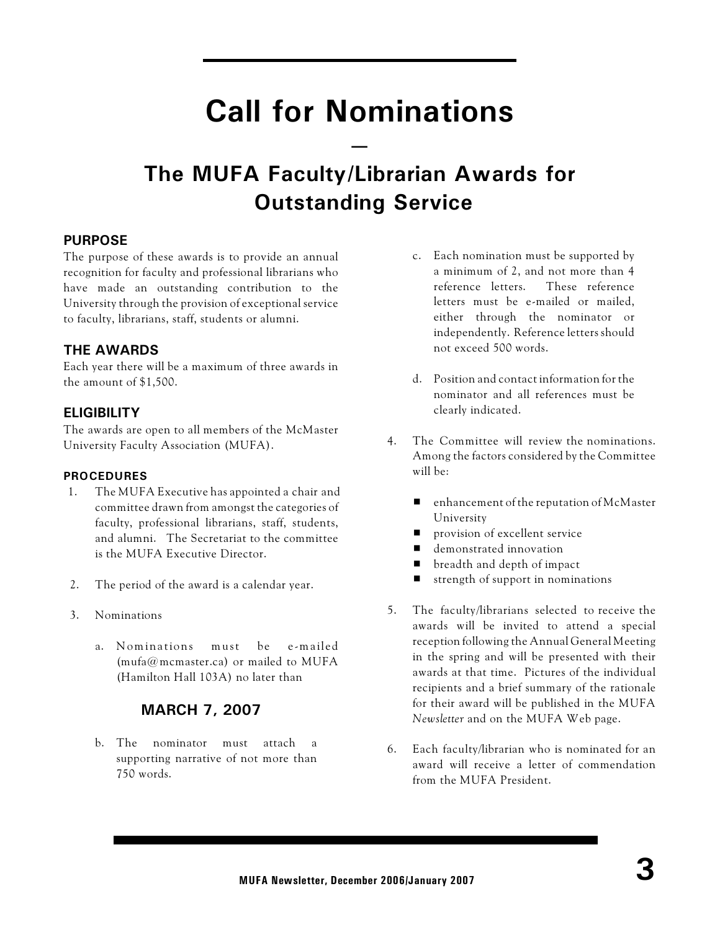# **Call for Nominations**

**—**

# **The MUFA Faculty/Librarian Awards for Outstanding Service**

# **PURPOSE**

The purpose of these awards is to provide an annual recognition for faculty and professional librarians who have made an outstanding contribution to the University through the provision of exceptional service to faculty, librarians, staff, students or alumni.

# **THE AWARDS**

Each year there will be a maximum of three awards in the amount of \$1,500.

# **ELIGIBILITY**

The awards are open to all members of the McMaster University Faculty Association (MUFA).

# **PROCEDURES**

- 1. The MUFA Executive has appointed a chair and committee drawn from amongst the categories of faculty, professional librarians, staff, students, and alumni. The Secretariat to the committee is the MUFA Executive Director.
- 2. The period of the award is a calendar year.
- 3. Nominations
	- a. Nominations must be e-mailed (mufa@mcmaster.ca) or mailed to MUFA (Hamilton Hall 103A) no later than

# **MARCH 7, 2007**

b. The nominator must attach a supporting narrative of not more than 750 words.

- c. Each nomination must be supported by a minimum of 2, and not more than 4 reference letters. These reference letters must be e-mailed or mailed, either through the nominator or independently. Reference letters should not exceed 500 words.
- d. Position and contact information for the nominator and all references must be clearly indicated.
- 4. The Committee will review the nominations. Among the factors considered by the Committee will be:
	- $\blacksquare$  enhancement of the reputation of McMaster University
	- provision of excellent service
	- demonstrated innovation
	- breadth and depth of impact
	- $\blacksquare$  strength of support in nominations
- 5. The faculty/librarians selected to receive the awards will be invited to attend a special reception following the Annual General Meeting in the spring and will be presented with their awards at that time. Pictures of the individual recipients and a brief summary of the rationale for their award will be published in the MUFA *Newsletter* and on the MUFA Web page.
- 6. Each faculty/librarian who is nominated for an award will receive a letter of commendation from the MUFA President.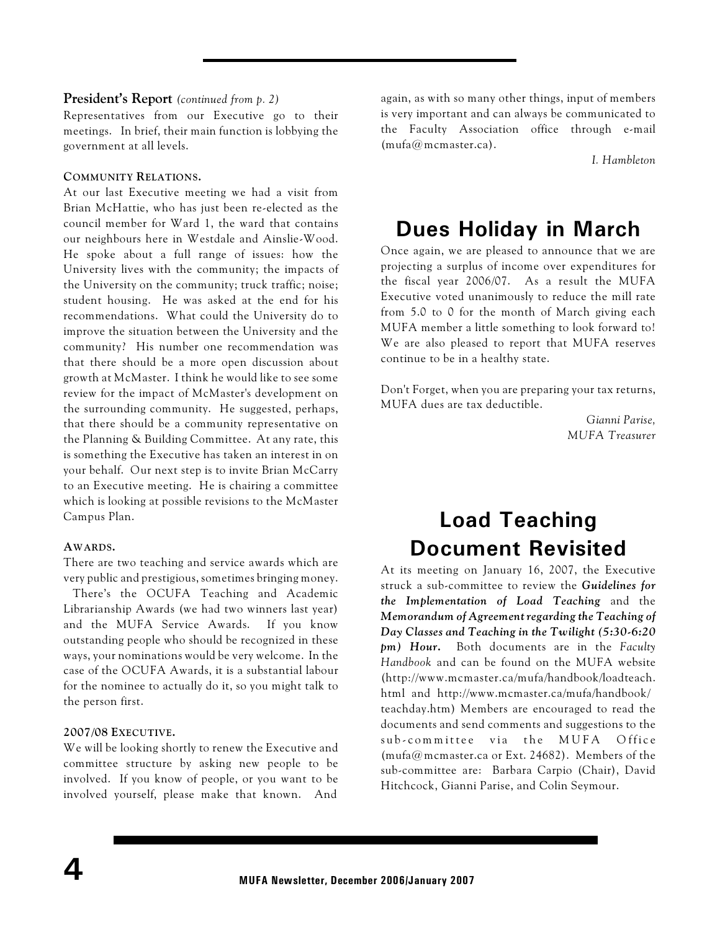#### **President's Report** *(continued from p. 2)*

Representatives from our Executive go to their meetings. In brief, their main function is lobbying the government at all levels.

#### **COMMUNITY RELATIONS.**

At our last Executive meeting we had a visit from Brian McHattie, who has just been re-elected as the council member for Ward 1, the ward that contains our neighbours here in Westdale and Ainslie-Wood. He spoke about a full range of issues: how the University lives with the community; the impacts of the University on the community; truck traffic; noise; student housing. He was asked at the end for his recommendations. What could the University do to improve the situation between the University and the community? His number one recommendation was that there should be a more open discussion about growth at McMaster. I think he would like to see some review for the impact of McMaster's development on the surrounding community. He suggested, perhaps, that there should be a community representative on the Planning & Building Committee. At any rate, this is something the Executive has taken an interest in on your behalf. Our next step is to invite Brian McCarry to an Executive meeting. He is chairing a committee which is looking at possible revisions to the McMaster Campus Plan.

#### **AWARDS.**

There are two teaching and service awards which are very public and prestigious, sometimes bringing money.

 There's the OCUFA Teaching and Academic Librarianship Awards (we had two winners last year) and the MUFA Service Awards. If you know outstanding people who should be recognized in these ways, your nominations would be very welcome. In the case of the OCUFA Awards, it is a substantial labour for the nominee to actually do it, so you might talk to the person first.

#### **2007/08 EXECUTIVE.**

We will be looking shortly to renew the Executive and committee structure by asking new people to be involved. If you know of people, or you want to be involved yourself, please make that known. And

again, as with so many other things, input of members is very important and can always be communicated to the Faculty Association office through e-mail (mufa@mcmaster.ca).

*I. Hambleton*

# **Dues Holiday in March**

Once again, we are pleased to announce that we are projecting a surplus of income over expenditures for the fiscal year 2006/07. As a result the MUFA Executive voted unanimously to reduce the mill rate from 5.0 to 0 for the month of March giving each MUFA member a little something to look forward to! We are also pleased to report that MUFA reserves continue to be in a healthy state.

Don't Forget, when you are preparing your tax returns, MUFA dues are tax deductible.

> *Gianni Parise, MUFA Treasurer*

# **Load Teaching Document Revisited**

At its meeting on January 16, 2007, the Executive struck a sub-committee to review the *Guidelines for the Implementation of Load Teaching* and the *Memorandum of Agreement regarding the Teaching of Day Classes and Teaching in the Twilight (5:30-6:20 pm) Hour***.** Both documents are in the *Faculty Handbook* and can be found on the MUFA website (http://www.mcmaster.ca/mufa/handbook/loadteach. html and http://www.mcmaster.ca/mufa/handbook/ teachday.htm) Members are encouraged to read the documents and send comments and suggestions to the sub-committee via the MUFA Office (mufa@mcmaster.ca or Ext. 24682). Members of the sub-committee are: Barbara Carpio (Chair), David Hitchcock, Gianni Parise, and Colin Seymour.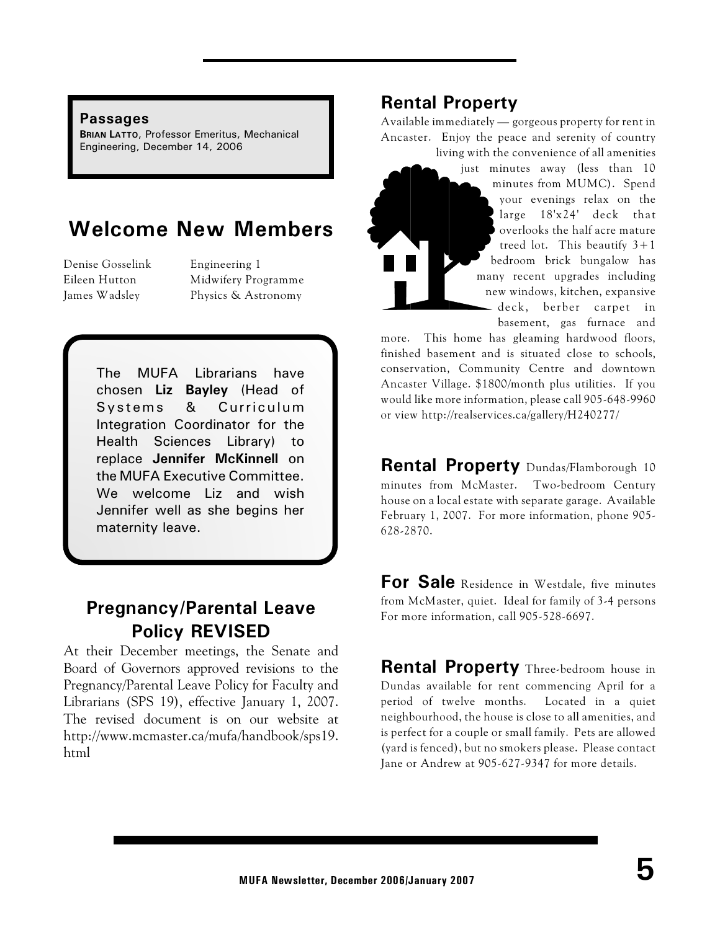# **Passages**

**BRIAN LATTO**, Professor Emeritus, Mechanical Engineering, December 14, 2006

# **Welcome New Members**

Denise Gosselink Engineering 1

Eileen Hutton Midwifery Programme James Wadsley Physics & Astronomy

> The MUFA Librarians have chosen **Liz Bayley** (Head of Systems & Curriculum Integration Coordinator for the Health Sciences Library) to replace **Jennifer McKinnell** on the MUFA Executive Committee. We welcome Liz and wish Jennifer well as she begins her maternity leave.

# **Pregnancy/Parental Leave Policy REVISED**

At their December meetings, the Senate and Board of Governors approved revisions to the Pregnancy/Parental Leave Policy for Faculty and Librarians (SPS 19), effective January 1, 2007. The revised document is on our website at http://www.mcmaster.ca/mufa/handbook/sps19. html

# **Rental Property**

Available immediately — gorgeous property for rent in Ancaster. Enjoy the peace and serenity of country living with the convenience of all amenities

> just minutes away (less than 10 minutes from MUMC). Spend your evenings relax on the large 18'x24' deck that overlooks the half acre mature treed lot. This beautify  $3+1$ bedroom brick bungalow has many recent upgrades including new windows, kitchen, expansive deck, berber carpet in basement, gas furnace and

more. This home has gleaming hardwood floors, finished basement and is situated close to schools, conservation, Community Centre and downtown Ancaster Village. \$1800/month plus utilities. If you would like more information, please call 905-648-9960 or view http://realservices.ca/gallery/H240277/

**Rental Property** Dundas/Flamborough 10 minutes from McMaster. Two-bedroom Century house on a local estate with separate garage. Available February 1, 2007. For more information, phone 905- 628-2870.

**For Sale** Residence in Westdale, five minutes from McMaster, quiet. Ideal for family of 3-4 persons For more information, call 905-528-6697.

**Rental Property** Three-bedroom house in Dundas available for rent commencing April for a period of twelve months. Located in a quiet neighbourhood, the house is close to all amenities, and is perfect for a couple or small family. Pets are allowed (yard is fenced), but no smokers please. Please contact Jane or Andrew at 905-627-9347 for more details.